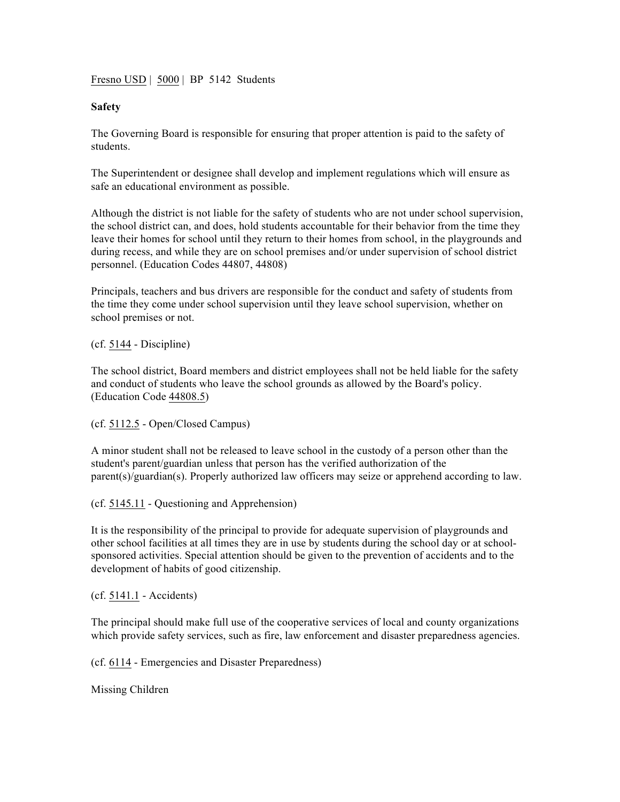Fresno USD | 5000 | BP 5142 Students

## **Safety**

The Governing Board is responsible for ensuring that proper attention is paid to the safety of students.

The Superintendent or designee shall develop and implement regulations which will ensure as safe an educational environment as possible.

Although the district is not liable for the safety of students who are not under school supervision, the school district can, and does, hold students accountable for their behavior from the time they leave their homes for school until they return to their homes from school, in the playgrounds and during recess, and while they are on school premises and/or under supervision of school district personnel. (Education Codes 44807, 44808)

Principals, teachers and bus drivers are responsible for the conduct and safety of students from the time they come under school supervision until they leave school supervision, whether on school premises or not.

(cf. 5144 - Discipline)

The school district, Board members and district employees shall not be held liable for the safety and conduct of students who leave the school grounds as allowed by the Board's policy. (Education Code 44808.5)

(cf. 5112.5 - Open/Closed Campus)

A minor student shall not be released to leave school in the custody of a person other than the student's parent/guardian unless that person has the verified authorization of the parent(s)/guardian(s). Properly authorized law officers may seize or apprehend according to law.

(cf. 5145.11 - Questioning and Apprehension)

It is the responsibility of the principal to provide for adequate supervision of playgrounds and other school facilities at all times they are in use by students during the school day or at schoolsponsored activities. Special attention should be given to the prevention of accidents and to the development of habits of good citizenship.

(cf. 5141.1 - Accidents)

The principal should make full use of the cooperative services of local and county organizations which provide safety services, such as fire, law enforcement and disaster preparedness agencies.

(cf. 6114 - Emergencies and Disaster Preparedness)

Missing Children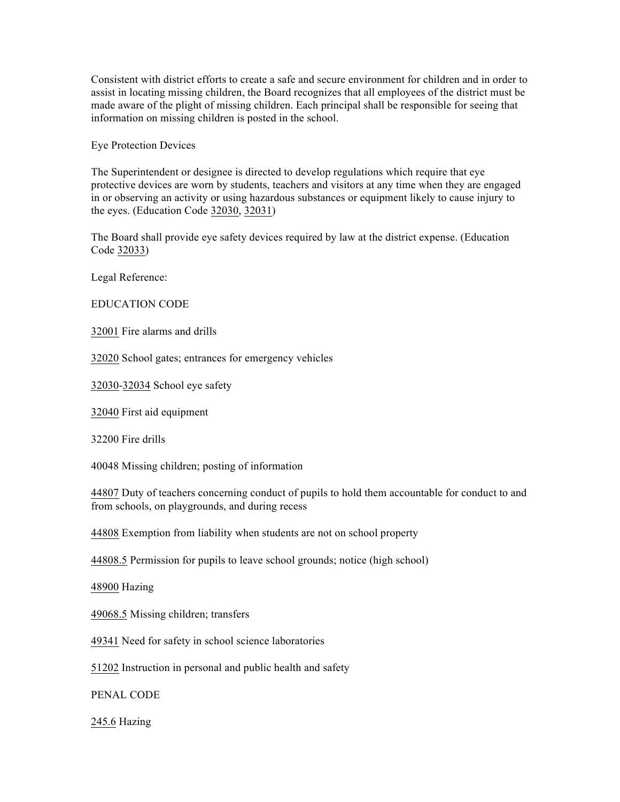Consistent with district efforts to create a safe and secure environment for children and in order to assist in locating missing children, the Board recognizes that all employees of the district must be made aware of the plight of missing children. Each principal shall be responsible for seeing that information on missing children is posted in the school.

Eye Protection Devices

The Superintendent or designee is directed to develop regulations which require that eye protective devices are worn by students, teachers and visitors at any time when they are engaged in or observing an activity or using hazardous substances or equipment likely to cause injury to the eyes. (Education Code 32030, 32031)

The Board shall provide eye safety devices required by law at the district expense. (Education Code 32033)

Legal Reference:

EDUCATION CODE

32001 Fire alarms and drills

32020 School gates; entrances for emergency vehicles

32030-32034 School eye safety

32040 First aid equipment

32200 Fire drills

40048 Missing children; posting of information

44807 Duty of teachers concerning conduct of pupils to hold them accountable for conduct to and from schools, on playgrounds, and during recess

44808 Exemption from liability when students are not on school property

44808.5 Permission for pupils to leave school grounds; notice (high school)

48900 Hazing

49068.5 Missing children; transfers

49341 Need for safety in school science laboratories

51202 Instruction in personal and public health and safety

PENAL CODE

245.6 Hazing